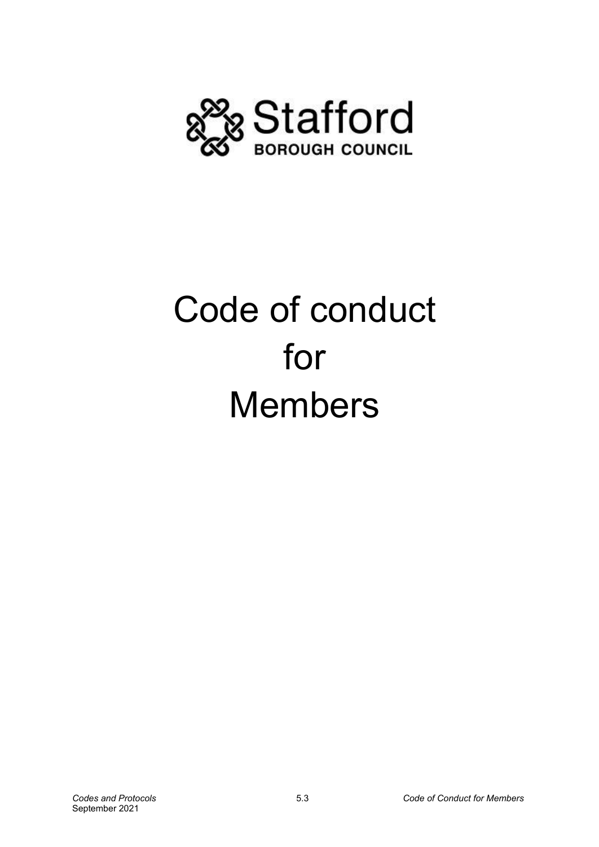

# Code of conduct for Members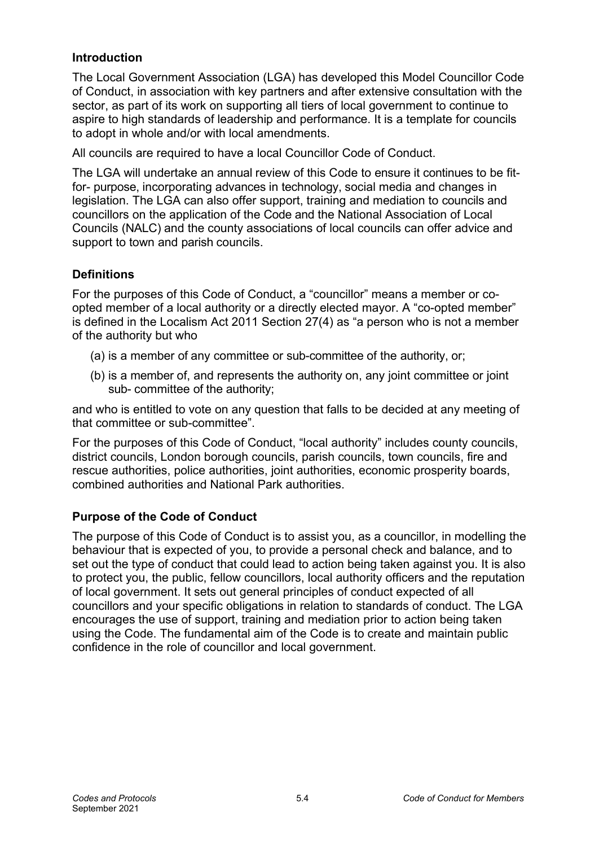## **Introduction**

The Local Government Association (LGA) has developed this Model Councillor Code of Conduct, in association with key partners and after extensive consultation with the sector, as part of its work on supporting all tiers of local government to continue to aspire to high standards of leadership and performance. It is a template for councils to adopt in whole and/or with local amendments.

All councils are required to have a local Councillor Code of Conduct.

The LGA will undertake an annual review of this Code to ensure it continues to be fitfor- purpose, incorporating advances in technology, social media and changes in legislation. The LGA can also offer support, training and mediation to councils and councillors on the application of the Code and the National Association of Local Councils (NALC) and the county associations of local councils can offer advice and support to town and parish councils.

## **Definitions**

For the purposes of this Code of Conduct, a "councillor" means a member or coopted member of a local authority or a directly elected mayor. A "co-opted member" is defined in the Localism Act 2011 Section 27(4) as "a person who is not a member of the authority but who

- (a) is a member of any committee or sub-committee of the authority, or;
- (b) is a member of, and represents the authority on, any joint committee or joint sub- committee of the authority;

and who is entitled to vote on any question that falls to be decided at any meeting of that committee or sub-committee".

For the purposes of this Code of Conduct, "local authority" includes county councils, district councils, London borough councils, parish councils, town councils, fire and rescue authorities, police authorities, joint authorities, economic prosperity boards, combined authorities and National Park authorities.

## **Purpose of the Code of Conduct**

The purpose of this Code of Conduct is to assist you, as a councillor, in modelling the behaviour that is expected of you, to provide a personal check and balance, and to set out the type of conduct that could lead to action being taken against you. It is also to protect you, the public, fellow councillors, local authority officers and the reputation of local government. It sets out general principles of conduct expected of all councillors and your specific obligations in relation to standards of conduct. The LGA encourages the use of support, training and mediation prior to action being taken using the Code. The fundamental aim of the Code is to create and maintain public confidence in the role of councillor and local government.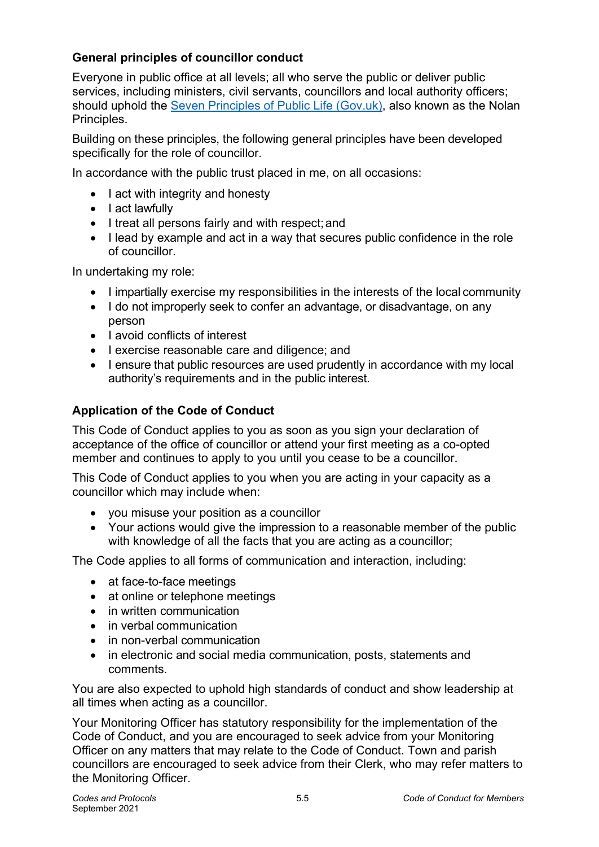# **General principles of councillor conduct**

Everyone in public office at all levels; all who serve the public or deliver public services, including ministers, civil servants, councillors and local authority officers; should uphold the [Seven Principles of Public Life \(Gov.uk\), a](https://www.gov.uk/government/publications/the-7-principles-of-public-life/the-7-principles-of-public-life--2)lso known as the Nolan Principles.

Building on these principles, the following general principles have been developed specifically for the role of councillor.

In accordance with the public trust placed in me, on all occasions:

- I act with integrity and honesty
- I act lawfully
- I treat all persons fairly and with respect; and
- I lead by example and act in a way that secures public confidence in the role of councillor.

In undertaking my role:

- I impartially exercise my responsibilities in the interests of the local community
- I do not improperly seek to confer an advantage, or disadvantage, on any person
- lavoid conflicts of interest
- I exercise reasonable care and diligence; and
- I ensure that public resources are used prudently in accordance with my local authority's requirements and in the public interest.

# **Application of the Code of Conduct**

This Code of Conduct applies to you as soon as you sign your declaration of acceptance of the office of councillor or attend your first meeting as a co-opted member and continues to apply to you until you cease to be a councillor.

This Code of Conduct applies to you when you are acting in your capacity as a councillor which may include when:

- you misuse your position as a councillor
- Your actions would give the impression to a reasonable member of the public with knowledge of all the facts that you are acting as a councillor;

The Code applies to all forms of communication and interaction, including:

- at face-to-face meetings
- at online or telephone meetings
- in written communication
- in verbal communication
- in non-verbal communication
- in electronic and social media communication, posts, statements and comments.

You are also expected to uphold high standards of conduct and show leadership at all times when acting as a councillor.

Your Monitoring Officer has statutory responsibility for the implementation of the Code of Conduct, and you are encouraged to seek advice from your Monitoring Officer on any matters that may relate to the Code of Conduct. Town and parish councillors are encouraged to seek advice from their Clerk, who may refer matters to the Monitoring Officer.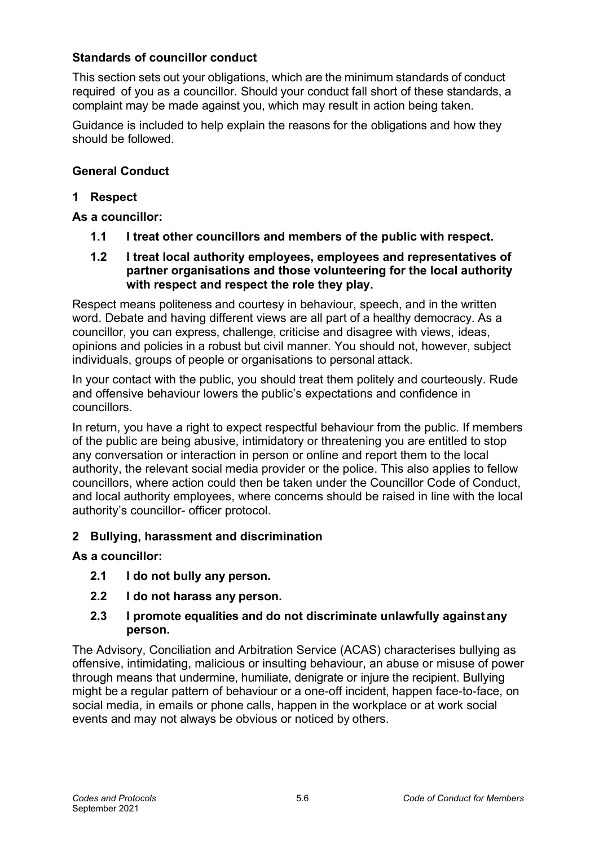## **Standards of councillor conduct**

This section sets out your obligations, which are the minimum standards of conduct required of you as a councillor. Should your conduct fall short of these standards, a complaint may be made against you, which may result in action being taken.

Guidance is included to help explain the reasons for the obligations and how they should be followed.

# **General Conduct**

## **1 Respect**

## **As a councillor:**

- **1.1 I treat other councillors and members of the public with respect.**
- **1.2 I treat local authority employees, employees and representatives of partner organisations and those volunteering for the local authority with respect and respect the role they play.**

Respect means politeness and courtesy in behaviour, speech, and in the written word. Debate and having different views are all part of a healthy democracy. As a councillor, you can express, challenge, criticise and disagree with views, ideas, opinions and policies in a robust but civil manner. You should not, however, subject individuals, groups of people or organisations to personal attack.

In your contact with the public, you should treat them politely and courteously. Rude and offensive behaviour lowers the public's expectations and confidence in councillors.

In return, you have a right to expect respectful behaviour from the public. If members of the public are being abusive, intimidatory or threatening you are entitled to stop any conversation or interaction in person or online and report them to the local authority, the relevant social media provider or the police. This also applies to fellow councillors, where action could then be taken under the Councillor Code of Conduct, and local authority employees, where concerns should be raised in line with the local authority's councillor- officer protocol.

## **2 Bullying, harassment and discrimination**

## **As a councillor:**

- **2.1 I do not bully any person.**
- **2.2 I do not harass any person.**
- **2.3 I promote equalities and do not discriminate unlawfully againstany person.**

The Advisory, Conciliation and Arbitration Service (ACAS) characterises bullying as offensive, intimidating, malicious or insulting behaviour, an abuse or misuse of power through means that undermine, humiliate, denigrate or injure the recipient. Bullying might be a regular pattern of behaviour or a one-off incident, happen face-to-face, on social media, in emails or phone calls, happen in the workplace or at work social events and may not always be obvious or noticed by others.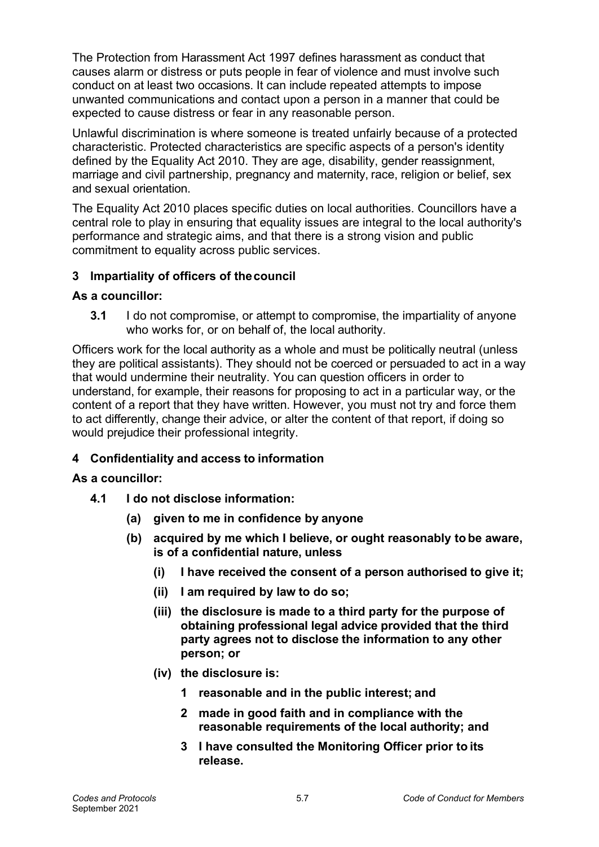The Protection from Harassment Act 1997 defines harassment as conduct that causes alarm or distress or puts people in fear of violence and must involve such conduct on at least two occasions. It can include repeated attempts to impose unwanted communications and contact upon a person in a manner that could be expected to cause distress or fear in any reasonable person.

Unlawful discrimination is where someone is treated unfairly because of a protected characteristic. Protected characteristics are specific aspects of a person's identity defined by the Equality Act 2010. They are age, disability, gender reassignment, marriage and civil partnership, pregnancy and maternity, race, religion or belief, sex and sexual orientation.

The Equality Act 2010 places specific duties on local authorities. Councillors have a central role to play in ensuring that equality issues are integral to the local authority's performance and strategic aims, and that there is a strong vision and public commitment to equality across public services.

# **3 Impartiality of officers of thecouncil**

#### **As a councillor:**

**3.1** I do not compromise, or attempt to compromise, the impartiality of anyone who works for, or on behalf of, the local authority.

Officers work for the local authority as a whole and must be politically neutral (unless they are political assistants). They should not be coerced or persuaded to act in a way that would undermine their neutrality. You can question officers in order to understand, for example, their reasons for proposing to act in a particular way, or the content of a report that they have written. However, you must not try and force them to act differently, change their advice, or alter the content of that report, if doing so would prejudice their professional integrity.

## **4 Confidentiality and access to information**

#### **As a councillor:**

- **4.1 I do not disclose information:**
	- **(a) given to me in confidence by anyone**
	- **(b) acquired by me which I believe, or ought reasonably tobe aware, is of a confidential nature, unless**
		- **(i) I have received the consent of a person authorised to give it;**
		- **(ii) I am required by law to do so;**
		- **(iii) the disclosure is made to a third party for the purpose of obtaining professional legal advice provided that the third party agrees not to disclose the information to any other person; or**
		- **(iv) the disclosure is:**
			- **1 reasonable and in the public interest; and**
			- **2 made in good faith and in compliance with the reasonable requirements of the local authority; and**
			- **3 I have consulted the Monitoring Officer prior to its release.**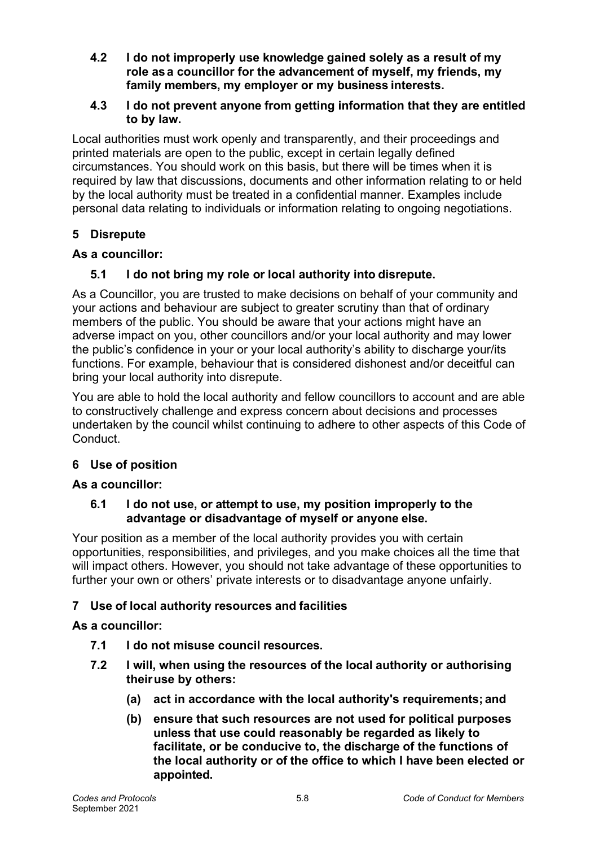- **4.2 I do not improperly use knowledge gained solely as a result of my role asa councillor for the advancement of myself, my friends, my family members, my employer or my business interests.**
- **4.3 I do not prevent anyone from getting information that they are entitled to by law.**

Local authorities must work openly and transparently, and their proceedings and printed materials are open to the public, except in certain legally defined circumstances. You should work on this basis, but there will be times when it is required by law that discussions, documents and other information relating to or held by the local authority must be treated in a confidential manner. Examples include personal data relating to individuals or information relating to ongoing negotiations.

# **5 Disrepute**

## **As a councillor:**

## **5.1 I do not bring my role or local authority into disrepute.**

As a Councillor, you are trusted to make decisions on behalf of your community and your actions and behaviour are subject to greater scrutiny than that of ordinary members of the public. You should be aware that your actions might have an adverse impact on you, other councillors and/or your local authority and may lower the public's confidence in your or your local authority's ability to discharge your/its functions. For example, behaviour that is considered dishonest and/or deceitful can bring your local authority into disrepute.

You are able to hold the local authority and fellow councillors to account and are able to constructively challenge and express concern about decisions and processes undertaken by the council whilst continuing to adhere to other aspects of this Code of Conduct.

## **6 Use of position**

#### **As a councillor:**

#### **6.1 I do not use, or attempt to use, my position improperly to the advantage or disadvantage of myself or anyone else.**

Your position as a member of the local authority provides you with certain opportunities, responsibilities, and privileges, and you make choices all the time that will impact others. However, you should not take advantage of these opportunities to further your own or others' private interests or to disadvantage anyone unfairly.

## **7 Use of local authority resources and facilities**

## **As a councillor:**

- **7.1 I do not misuse council resources.**
- **7.2 I will, when using the resources of the local authority or authorising theiruse by others:**
	- **(a) act in accordance with the local authority's requirements; and**
	- **(b) ensure that such resources are not used for political purposes unless that use could reasonably be regarded as likely to facilitate, or be conducive to, the discharge of the functions of the local authority or of the office to which I have been elected or appointed.**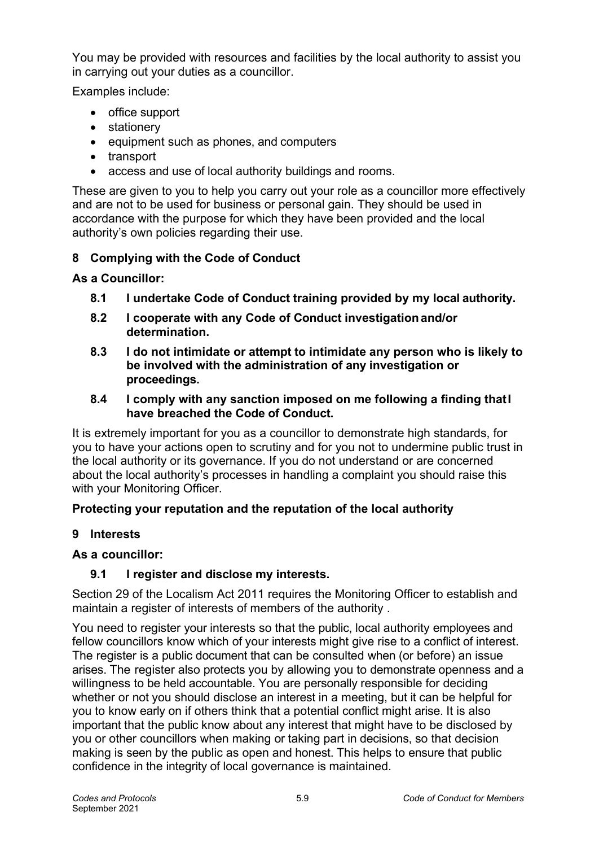You may be provided with resources and facilities by the local authority to assist you in carrying out your duties as a councillor.

Examples include:

- office support
- stationery
- equipment such as phones, and computers
- transport
- access and use of local authority buildings and rooms.

These are given to you to help you carry out your role as a councillor more effectively and are not to be used for business or personal gain. They should be used in accordance with the purpose for which they have been provided and the local authority's own policies regarding their use.

# **8 Complying with the Code of Conduct**

## **As a Councillor:**

- **8.1 I undertake Code of Conduct training provided by my local authority.**
- **8.2 I cooperate with any Code of Conduct investigationand/or determination.**
- **8.3 I do not intimidate or attempt to intimidate any person who is likely to be involved with the administration of any investigation or proceedings.**
- **8.4 I comply with any sanction imposed on me following a finding thatI have breached the Code of Conduct.**

It is extremely important for you as a councillor to demonstrate high standards, for you to have your actions open to scrutiny and for you not to undermine public trust in the local authority or its governance. If you do not understand or are concerned about the local authority's processes in handling a complaint you should raise this with your Monitoring Officer.

# **Protecting your reputation and the reputation of the local authority**

## **9 Interests**

## **As a councillor:**

# **9.1 I register and disclose my interests.**

Section 29 of the Localism Act 2011 requires the Monitoring Officer to establish and maintain a register of interests of members of the authority .

You need to register your interests so that the public, local authority employees and fellow councillors know which of your interests might give rise to a conflict of interest. The register is a public document that can be consulted when (or before) an issue arises. The register also protects you by allowing you to demonstrate openness and a willingness to be held accountable. You are personally responsible for deciding whether or not you should disclose an interest in a meeting, but it can be helpful for you to know early on if others think that a potential conflict might arise. It is also important that the public know about any interest that might have to be disclosed by you or other councillors when making or taking part in decisions, so that decision making is seen by the public as open and honest. This helps to ensure that public confidence in the integrity of local governance is maintained.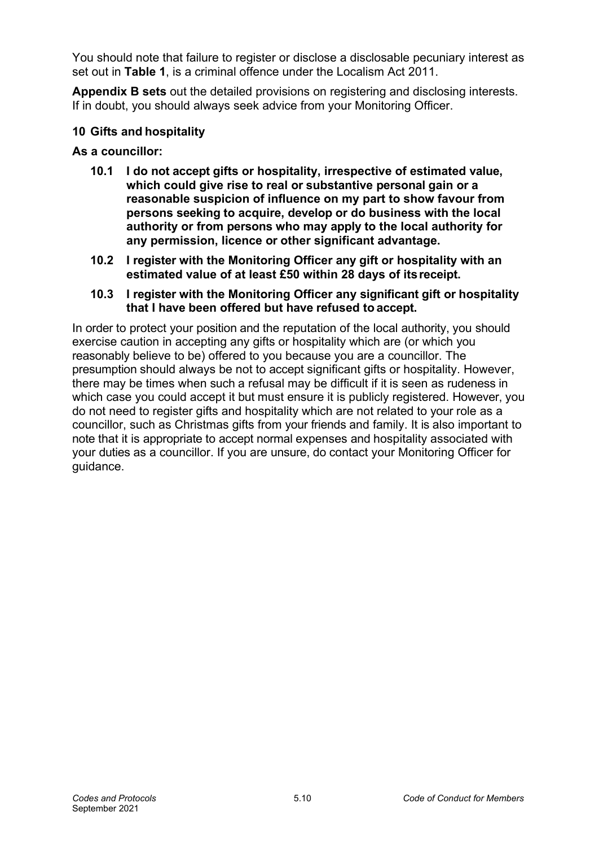You should note that failure to register or disclose a disclosable pecuniary interest as set out in **Table 1**, is a criminal offence under the Localism Act 2011.

**Appendix B sets** out the detailed provisions on registering and disclosing interests. If in doubt, you should always seek advice from your Monitoring Officer.

## **10 Gifts and hospitality**

## **As a councillor:**

- **10.1 I do not accept gifts or hospitality, irrespective of estimated value, which could give rise to real or substantive personal gain or a reasonable suspicion of influence on my part to show favour from persons seeking to acquire, develop or do business with the local authority or from persons who may apply to the local authority for any permission, licence or other significant advantage.**
- **10.2 I register with the Monitoring Officer any gift or hospitality with an estimated value of at least £50 within 28 days of itsreceipt.**
- **10.3 I register with the Monitoring Officer any significant gift or hospitality that I have been offered but have refused to accept.**

In order to protect your position and the reputation of the local authority, you should exercise caution in accepting any gifts or hospitality which are (or which you reasonably believe to be) offered to you because you are a councillor. The presumption should always be not to accept significant gifts or hospitality. However, there may be times when such a refusal may be difficult if it is seen as rudeness in which case you could accept it but must ensure it is publicly registered. However, you do not need to register gifts and hospitality which are not related to your role as a councillor, such as Christmas gifts from your friends and family. It is also important to note that it is appropriate to accept normal expenses and hospitality associated with your duties as a councillor. If you are unsure, do contact your Monitoring Officer for guidance.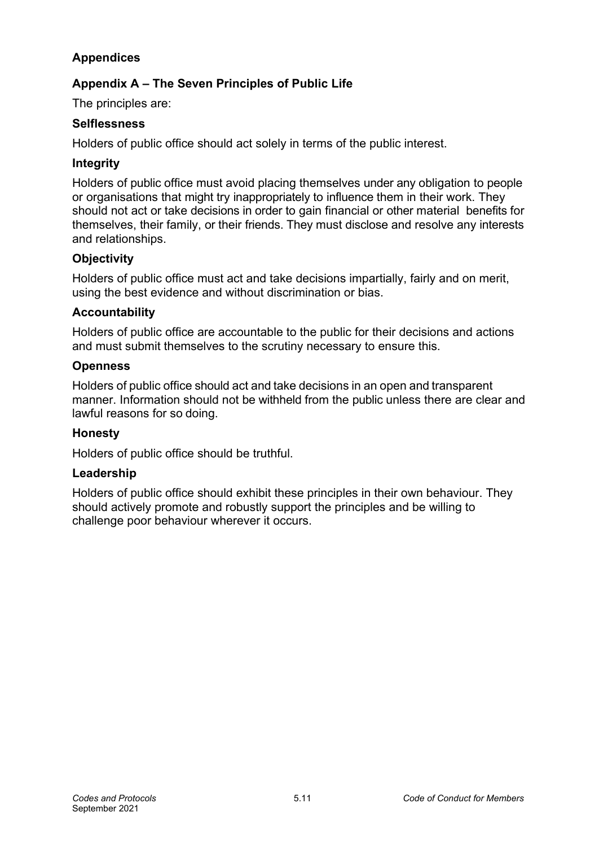# **Appendices**

# **Appendix A – The Seven Principles of Public Life**

The principles are:

#### **Selflessness**

Holders of public office should act solely in terms of the public interest.

#### **Integrity**

Holders of public office must avoid placing themselves under any obligation to people or organisations that might try inappropriately to influence them in their work. They should not act or take decisions in order to gain financial or other material benefits for themselves, their family, or their friends. They must disclose and resolve any interests and relationships.

## **Objectivity**

Holders of public office must act and take decisions impartially, fairly and on merit, using the best evidence and without discrimination or bias.

#### **Accountability**

Holders of public office are accountable to the public for their decisions and actions and must submit themselves to the scrutiny necessary to ensure this.

#### **Openness**

Holders of public office should act and take decisions in an open and transparent manner. Information should not be withheld from the public unless there are clear and lawful reasons for so doing.

## **Honesty**

Holders of public office should be truthful.

#### **Leadership**

Holders of public office should exhibit these principles in their own behaviour. They should actively promote and robustly support the principles and be willing to challenge poor behaviour wherever it occurs.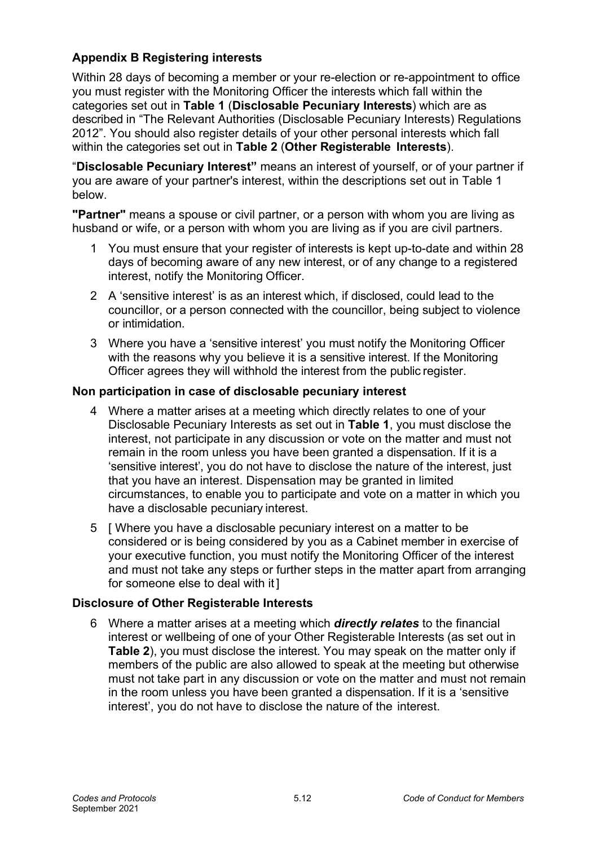# **Appendix B Registering interests**

Within 28 days of becoming a member or your re-election or re-appointment to office you must register with the Monitoring Officer the interests which fall within the categories set out in **Table 1** (**Disclosable Pecuniary Interests**) which are as described in "The Relevant Authorities (Disclosable Pecuniary Interests) Regulations 2012". You should also register details of your other personal interests which fall within the categories set out in **Table 2** (**Other Registerable Interests**).

"**Disclosable Pecuniary Interest"** means an interest of yourself, or of your partner if you are aware of your partner's interest, within the descriptions set out in Table 1 below.

**"Partner"** means a spouse or civil partner, or a person with whom you are living as husband or wife, or a person with whom you are living as if you are civil partners.

- 1 You must ensure that your register of interests is kept up-to-date and within 28 days of becoming aware of any new interest, or of any change to a registered interest, notify the Monitoring Officer.
- 2 A 'sensitive interest' is as an interest which, if disclosed, could lead to the councillor, or a person connected with the councillor, being subject to violence or intimidation.
- 3 Where you have a 'sensitive interest' you must notify the Monitoring Officer with the reasons why you believe it is a sensitive interest. If the Monitoring Officer agrees they will withhold the interest from the public register.

#### **Non participation in case of disclosable pecuniary interest**

- 4 Where a matter arises at a meeting which directly relates to one of your Disclosable Pecuniary Interests as set out in **Table 1**, you must disclose the interest, not participate in any discussion or vote on the matter and must not remain in the room unless you have been granted a dispensation. If it is a 'sensitive interest', you do not have to disclose the nature of the interest, just that you have an interest. Dispensation may be granted in limited circumstances, to enable you to participate and vote on a matter in which you have a disclosable pecuniary interest.
- 5 [ Where you have a disclosable pecuniary interest on a matter to be considered or is being considered by you as a Cabinet member in exercise of your executive function, you must notify the Monitoring Officer of the interest and must not take any steps or further steps in the matter apart from arranging for someone else to deal with it ]

## **Disclosure of Other Registerable Interests**

6 Where a matter arises at a meeting which *directly relates* to the financial interest or wellbeing of one of your Other Registerable Interests (as set out in **Table 2**), you must disclose the interest. You may speak on the matter only if members of the public are also allowed to speak at the meeting but otherwise must not take part in any discussion or vote on the matter and must not remain in the room unless you have been granted a dispensation. If it is a 'sensitive interest', you do not have to disclose the nature of the interest.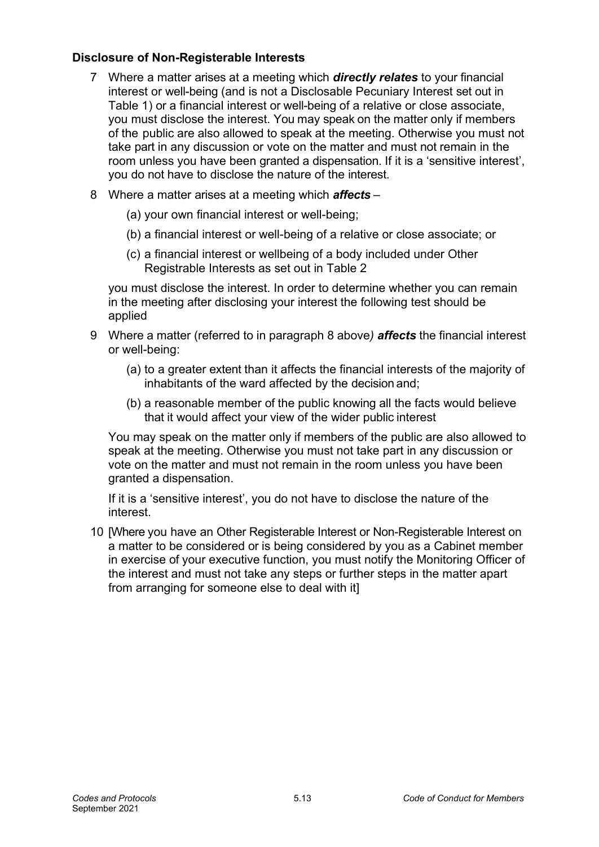## **Disclosure of Non-Registerable Interests**

- 7 Where a matter arises at a meeting which *directly relates* to your financial interest or well-being (and is not a Disclosable Pecuniary Interest set out in Table 1) or a financial interest or well-being of a relative or close associate, you must disclose the interest. You may speak on the matter only if members of the public are also allowed to speak at the meeting. Otherwise you must not take part in any discussion or vote on the matter and must not remain in the room unless you have been granted a dispensation. If it is a 'sensitive interest', you do not have to disclose the nature of the interest.
- 8 Where a matter arises at a meeting which *affects*
	- (a) your own financial interest or well-being;
	- (b) a financial interest or well-being of a relative or close associate; or
	- (c) a financial interest or wellbeing of a body included under Other Registrable Interests as set out in Table 2

you must disclose the interest. In order to determine whether you can remain in the meeting after disclosing your interest the following test should be applied

- 9 Where a matter (referred to in paragraph 8 above*) affects* the financial interest or well-being:
	- (a) to a greater extent than it affects the financial interests of the majority of inhabitants of the ward affected by the decision and;
	- (b) a reasonable member of the public knowing all the facts would believe that it would affect your view of the wider public interest

You may speak on the matter only if members of the public are also allowed to speak at the meeting. Otherwise you must not take part in any discussion or vote on the matter and must not remain in the room unless you have been granted a dispensation.

If it is a 'sensitive interest', you do not have to disclose the nature of the interest.

10 [Where you have an Other Registerable Interest or Non-Registerable Interest on a matter to be considered or is being considered by you as a Cabinet member in exercise of your executive function, you must notify the Monitoring Officer of the interest and must not take any steps or further steps in the matter apart from arranging for someone else to deal with it]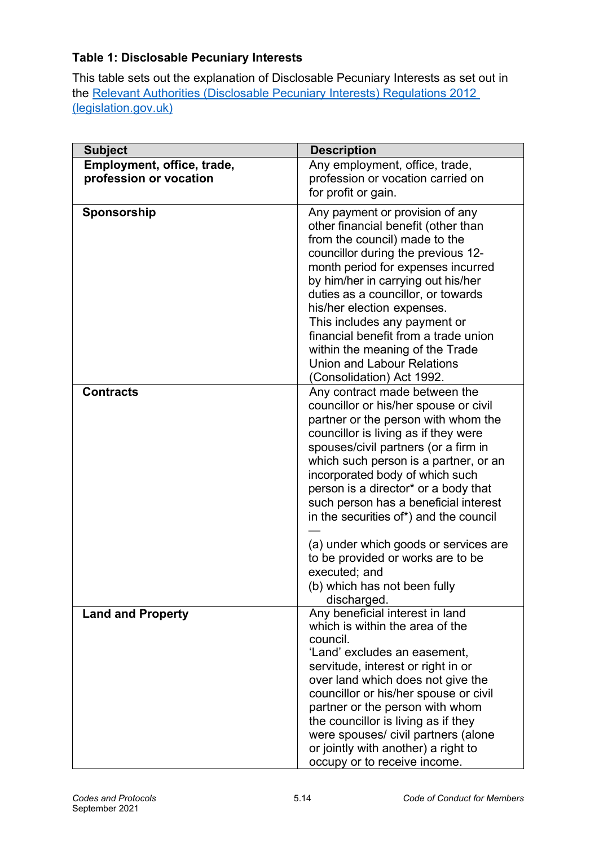# **Table 1: Disclosable Pecuniary Interests**

This table sets out the explanation of Disclosable Pecuniary Interests as set out in the [Relevant Authorities \(Disclosable Pecuniary Interests\) Regulations 2012](https://www.legislation.gov.uk/uksi/2012/1464/made)  [\(legislation.gov.uk\)](https://www.legislation.gov.uk/uksi/2012/1464/made)

| <b>Subject</b>             | <b>Description</b>                                                                                                                                                                                                                                                                                                                                                                                                                                                                                                                                 |
|----------------------------|----------------------------------------------------------------------------------------------------------------------------------------------------------------------------------------------------------------------------------------------------------------------------------------------------------------------------------------------------------------------------------------------------------------------------------------------------------------------------------------------------------------------------------------------------|
| Employment, office, trade, | Any employment, office, trade,                                                                                                                                                                                                                                                                                                                                                                                                                                                                                                                     |
| profession or vocation     | profession or vocation carried on                                                                                                                                                                                                                                                                                                                                                                                                                                                                                                                  |
|                            | for profit or gain.                                                                                                                                                                                                                                                                                                                                                                                                                                                                                                                                |
| Sponsorship                | Any payment or provision of any<br>other financial benefit (other than<br>from the council) made to the<br>councillor during the previous 12-<br>month period for expenses incurred<br>by him/her in carrying out his/her<br>duties as a councillor, or towards<br>his/her election expenses.<br>This includes any payment or<br>financial benefit from a trade union<br>within the meaning of the Trade<br><b>Union and Labour Relations</b><br>(Consolidation) Act 1992.                                                                         |
| <b>Contracts</b>           | Any contract made between the<br>councillor or his/her spouse or civil<br>partner or the person with whom the<br>councillor is living as if they were<br>spouses/civil partners (or a firm in<br>which such person is a partner, or an<br>incorporated body of which such<br>person is a director* or a body that<br>such person has a beneficial interest<br>in the securities of*) and the council<br>(a) under which goods or services are<br>to be provided or works are to be<br>executed; and<br>(b) which has not been fully<br>discharged. |
| <b>Land and Property</b>   | Any beneficial interest in land<br>which is within the area of the<br>council.<br>'Land' excludes an easement,<br>servitude, interest or right in or<br>over land which does not give the<br>councillor or his/her spouse or civil<br>partner or the person with whom<br>the councillor is living as if they<br>were spouses/ civil partners (alone<br>or jointly with another) a right to<br>occupy or to receive income.                                                                                                                         |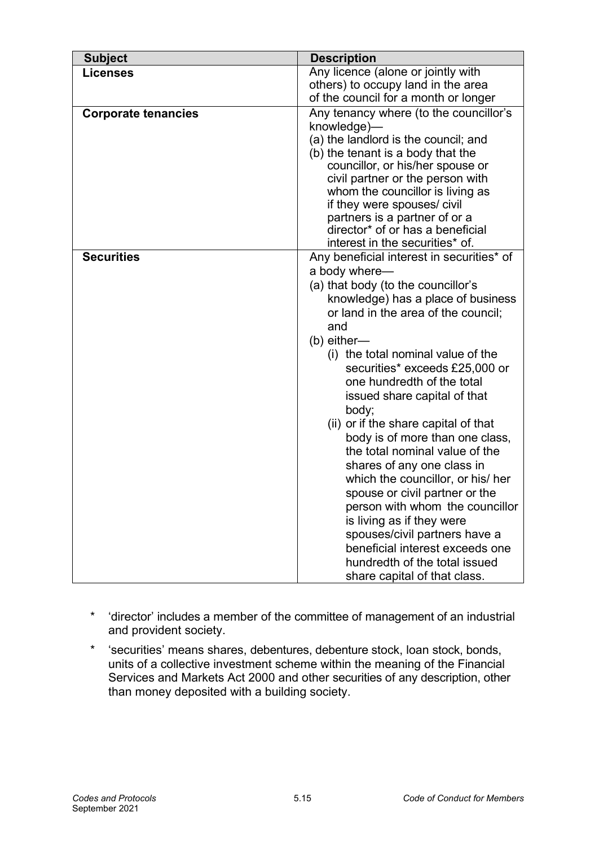| <b>Subject</b>             | <b>Description</b>                                                                                                                                                                                                                                                                                                                                                                                                                                                                                                                                                                                                                                                                                                                                                          |
|----------------------------|-----------------------------------------------------------------------------------------------------------------------------------------------------------------------------------------------------------------------------------------------------------------------------------------------------------------------------------------------------------------------------------------------------------------------------------------------------------------------------------------------------------------------------------------------------------------------------------------------------------------------------------------------------------------------------------------------------------------------------------------------------------------------------|
| <b>Licenses</b>            | Any licence (alone or jointly with<br>others) to occupy land in the area<br>of the council for a month or longer                                                                                                                                                                                                                                                                                                                                                                                                                                                                                                                                                                                                                                                            |
| <b>Corporate tenancies</b> | Any tenancy where (to the councillor's<br>knowledge)-<br>(a) the landlord is the council; and<br>(b) the tenant is a body that the<br>councillor, or his/her spouse or<br>civil partner or the person with<br>whom the councillor is living as<br>if they were spouses/ civil<br>partners is a partner of or a<br>director* of or has a beneficial<br>interest in the securities* of.                                                                                                                                                                                                                                                                                                                                                                                       |
| <b>Securities</b>          | Any beneficial interest in securities* of<br>a body where-<br>(a) that body (to the councillor's<br>knowledge) has a place of business<br>or land in the area of the council;<br>and<br>$(b)$ either—<br>(i) the total nominal value of the<br>securities* exceeds £25,000 or<br>one hundredth of the total<br>issued share capital of that<br>body;<br>(ii) or if the share capital of that<br>body is of more than one class,<br>the total nominal value of the<br>shares of any one class in<br>which the councillor, or his/ her<br>spouse or civil partner or the<br>person with whom the councillor<br>is living as if they were<br>spouses/civil partners have a<br>beneficial interest exceeds one<br>hundredth of the total issued<br>share capital of that class. |

- \* 'director' includes a member of the committee of management of an industrial and provident society.
- \* 'securities' means shares, debentures, debenture stock, loan stock, bonds, units of a collective investment scheme within the meaning of the Financial Services and Markets Act 2000 and other securities of any description, other than money deposited with a building society.